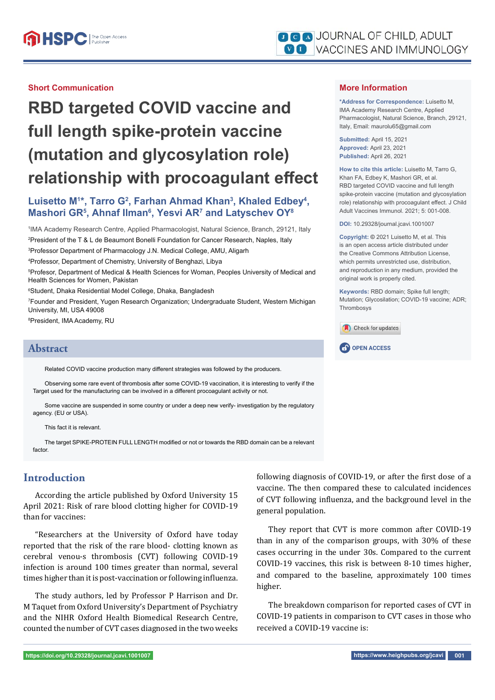#### **Short Communication**

# **RBD targeted COVID vaccine and full length spike-protein vaccine (mutation and glycosylation role) relationship with procoagulant effect**

## Luisetto M<sup>1\*</sup>, Tarro G<sup>2</sup>, Farhan Ahmad Khan<sup>3</sup>, Khaled Edbey<sup>4</sup>, **Mashori GR5 , Ahnaf Ilman6 , Yesvi AR7 and Latyschev OY8**

1 IMA Academy Research Centre, Applied Pharmacologist, Natural Science, Branch, 29121, Italy 2 President of the T & L de Beaumont Bonelli Foundation for Cancer Research, Naples, Italy

3 Professor Department of Pharmacology J.N. Medical College, AMU, Aligarh

4 Professor, Department of Chemistry, University of Benghazi, Libya

5 Profesor, Department of Medical & Health Sciences for Woman, Peoples University of Medical and Health Sciences for Women, Pakistan

6 Student, Dhaka Residential Model College, Dhaka, Bangladesh

7 Founder and President, Yugen Research Organization; Undergraduate Student, Western Michigan University, MI, USA 49008

8 President, IMA Academy, RU

## **Abstract OPEN ACCESS**

Related COVID vaccine production many different strategies was followed by the producers.

Observing some rare event of thrombosis after some COVID-19 vaccination, it is interesting to verify if the Target used for the manufacturing can be involved in a different procoagulant activity or not.

Some vaccine are suspended in some country or under a deep new verify- investigation by the regulatory agency. (EU or USA).

This fact it is relevant.

The target SPIKE-PROTEIN FULL LENGTH modified or not or towards the RBD domain can be a relevant factor.

#### **Introduction**

According the article published by Oxford University 15 April 2021: Risk of rare blood clotting higher for COVID-19 than for vaccines:

"Researchers at the University of Oxford have today reported that the risk of the rare blood- clotting known as cerebral venou-s thrombosis (CVT) following COVID-19 infection is around 100 times greater than normal, several times higher than it is post-vaccination or following influenza.

The study authors, led by Professor P Harrison and Dr. M Taquet from Oxford University's Department of Psychiatry and the NIHR Oxford Health Biomedical Research Centre, counted the number of CVT cases diagnosed in the two weeks

following diagnosis of COVID-19, or after the first dose of a vaccine. The then compared these to calculated incidences of CVT following influenza, and the background level in the general population.

They report that CVT is more common after COVID-19 than in any of the comparison groups, with 30% of these cases occurring in the under 30s. Compared to the current COVID-19 vaccines, this risk is between 8-10 times higher, and compared to the baseline, approximately 100 times higher.

The breakdown comparison for reported cases of CVT in COVID-19 patients in comparison to CVT cases in those who received a COVID-19 vaccine is:

**\*Address for Correspondence:** Luisetto M, IMA Academy Research Centre, Applied Pharmacologist, Natural Science, Branch, 29121, Italy, Email: maurolu65@gmail.com

**Submitted:** April 15, 2021 **Approved:** April 23, 2021 **Published:** April 26, 2021

**How to cite this article:** Luisetto M, Tarro G, Khan FA, Edbey K, Mashori GR, et al. RBD targeted COVID vaccine and full length spike-protein vaccine (mutation and glycosylation role) relationship with procoagulant effect. J Child Adult Vaccines Immunol. 2021; 5: 001-008.

**DOI:** 10.29328/journal.jcavi.1001007

**Copyright: ©** 2021 Luisetto M, et al. This is an open access article distributed under the Creative Commons Attribution License, which permits unrestricted use, distribution, and reproduction in any medium, provided the original work is properly cited.

**Keywords:** RBD domain; Spike full length; Mutation; Glycosilation; COVID-19 vaccine; ADR; Thrombosys

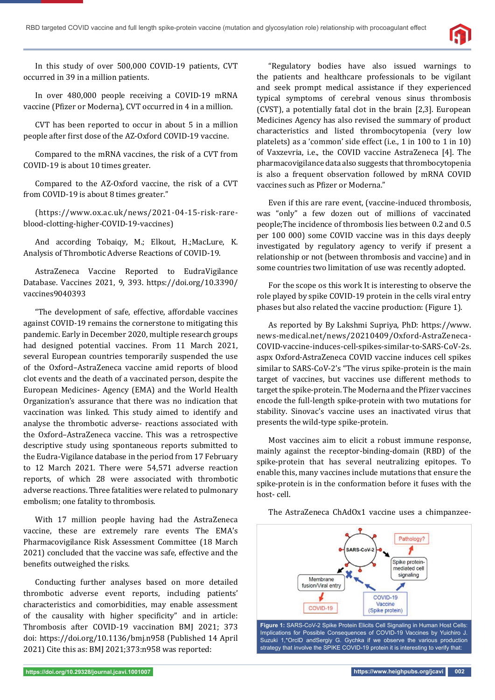

In this study of over 500,000 COVID-19 patients, CVT occurred in 39 in a million patients.

In over 480,000 people receiving a COVID-19 mRNA vaccine (Pfizer or Moderna), CVT occurred in 4 in a million.

CVT has been reported to occur in about 5 in a million people after first dose of the AZ-Oxford COVID-19 vaccine.

Compared to the mRNA vaccines, the risk of a CVT from COVID-19 is about 10 times greater.

Compared to the AZ-Oxford vaccine, the risk of a CVT from COVID-19 is about 8 times greater."

(https://www.ox.ac.uk/news/2021-04-15-risk-rareblood-clotting-higher-COVID-19-vaccines)

And according Tobaiqy, M.; Elkout, H.;MacLure, K. Analysis of Thrombotic Adverse Reactions of COVID-19.

AstraZeneca Vaccine Reported to EudraVigilance Database. Vaccines 2021, 9, 393. https://doi.org/10.3390/ vaccines9040393

"The development of safe, effective, affordable vaccines against COVID-19 remains the cornerstone to mitigating this pandemic. Early in December 2020, multiple research groups had designed potential vaccines. From 11 March 2021, several European countries temporarily suspended the use of the Oxford–AstraZeneca vaccine amid reports of blood clot events and the death of a vaccinated person, despite the European Medicines- Agency (EMA) and the World Health Organization's assurance that there was no indication that vaccination was linked. This study aimed to identify and analyse the thrombotic adverse- reactions associated with the Oxford–AstraZeneca vaccine. This was a retrospective descriptive study using spontaneous reports submitted to the Eudra-Vigilance database in the period from 17 February to 12 March 2021. There were 54,571 adverse reaction reports, of which 28 were associated with thrombotic adverse reactions. Three fatalities were related to pulmonary embolism; one fatality to thrombosis.

With 17 million people having had the AstraZeneca vaccine, these are extremely rare events The EMA's Pharmacovigilance Risk Assessment Committee (18 March 2021) concluded that the vaccine was safe, effective and the benefits outweighed the risks.

Conducting further analyses based on more detailed thrombotic adverse event reports, including patients' characteristics and comorbidities, may enable assessment of the causality with higher specificity" and in article: Thrombosis after COVID-19 vaccination BMJ 2021; 373 doi: https://doi.org/10.1136/bmj.n958 (Published 14 April 2021) Cite this as: BMJ 2021;373:n958 was reported:

"Regulatory bodies have also issued warnings to the patients and healthcare professionals to be vigilant and seek prompt medical assistance if they experienced typical symptoms of cerebral venous sinus thrombosis (CVST), a potentially fatal clot in the brain [2,3]. European Medicines Agency has also revised the summary of product characteristics and listed thrombocytopenia (very low platelets) as a 'common' side effect (i.e., 1 in 100 to 1 in 10) of Vaxzevria, i.e., the COVID vaccine AstraZeneca [4]. The pharmacovigilance data also suggests that thrombocytopenia is also a frequent observation followed by mRNA COVID vaccines such as Pfizer or Moderna."

Even if this are rare event, (vaccine-induced thrombosis, was "only" a few dozen out of millions of vaccinated people;The incidence of thrombosis lies between 0.2 and 0.5 per 100 000) some COVID vaccine was in this days deeply investigated by regulatory agency to verify if present a relationship or not (between thrombosis and vaccine) and in some countries two limitation of use was recently adopted.

For the scope os this work It is interesting to observe the role played by spike COVID-19 protein in the cells viral entry phases but also related the vaccine production: (Figure 1).

As reported by By Lakshmi Supriya, PhD: https://www. news-medical.net/news/20210409/Oxford-AstraZeneca-COVID-vaccine-induces-cell-spikes-similar-to-SARS-CoV-2s. aspx Oxford-AstraZeneca COVID vaccine induces cell spikes similar to SARS-CoV-2's "The virus spike-protein is the main target of vaccines, but vaccines use different methods to target the spike-protein. The Moderna and the Pfizer vaccines encode the full-length spike-protein with two mutations for stability. Sinovac's vaccine uses an inactivated virus that presents the wild-type spike-protein.

Most vaccines aim to elicit a robust immune response, mainly against the receptor-binding-domain (RBD) of the spike-protein that has several neutralizing epitopes. To enable this, many vaccines include mutations that ensure the spike-protein is in the conformation before it fuses with the host- cell.



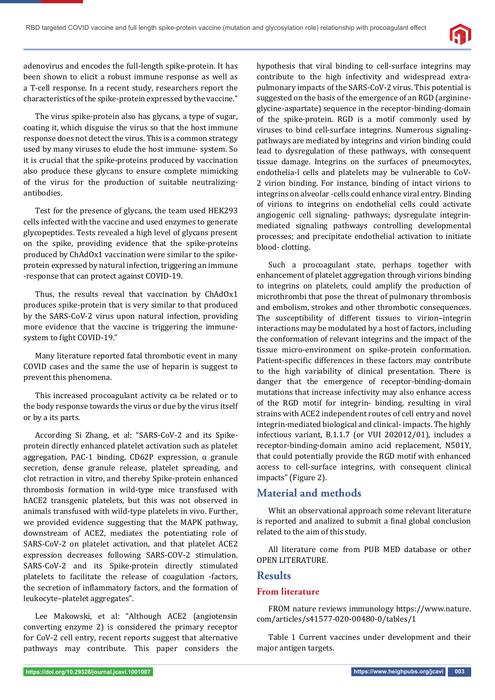

adenovirus and encodes the full-length spike-protein. It has been shown to elicit a robust immune response as well as a T-cell response. In a recent study, researchers report the characteristics of the spike-protein expressed by the vaccine."

The virus spike-protein also has glycans, a type of sugar, coating it, which disguise the virus so that the host immune response does not detect the virus. This is a common strategy used by many viruses to elude the host immune- system. So it is crucial that the spike-proteins produced by vaccination also produce these glycans to ensure complete mimicking of the virus for the production of suitable neutralizingantibodies.

Test for the presence of glycans, the team used HEK293 cells infected with the vaccine and used enzymes to generate glycopeptides. Tests revealed a high level of glycans present on the spike, providing evidence that the spike-proteins produced by ChAdOx1 vaccination were similar to the spikeprotein expressed by natural infection, triggering an immune -response that can protect against COVID-19.

Thus, the results reveal that vaccination by ChAdOx1 produces spike-protein that is very similar to that produced by the SARS-CoV-2 virus upon natural infection, providing more evidence that the vaccine is triggering the immunesystem to fight COVID-19."

Many literature reported fatal thrombotic event in many COVID cases and the same the use of heparin is suggest to prevent this phenomena.

This increased procoagulant activity ca be related or to the body response towards the virus or due by the virus itself or by a its parts.

According Si Zhang, et al: "SARS-CoV-2 and its Spikeprotein directly enhanced platelet activation such as platelet aggregation, PAC-1 binding, CD62P expression, α granule secretion, dense granule release, platelet spreading, and clot retraction in vitro, and thereby Spike-protein enhanced thrombosis formation in wild-type mice transfused with hACE2 transgenic platelets, but this was not observed in animals transfused with wild-type platelets in vivo. Further, we provided evidence suggesting that the MAPK pathway, downstream of ACE2, mediates the potentiating role of SARS-CoV-2 on platelet activation, and that platelet ACE2 expression decreases following SARS-COV-2 stimulation. SARS-CoV-2 and its Spike-protein directly stimulated platelets to facilitate the release of coagulation -factors, the secretion of inflammatory factors, and the formation of leukocyte–platelet aggregates".

Lee Makowski, et al: "Although ACE2 (angiotensin converting enzyme 2) is considered the primary receptor for CoV-2 cell entry, recent reports suggest that alternative pathways may contribute. This paper considers the hypothesis that viral binding to cell-surface integrins may contribute to the high infectivity and widespread extrapulmonary impacts of the SARS-CoV-2 virus. This potential is suggested on the basis of the emergence of an RGD (arginineglycine-aspartate) sequence in the receptor-binding-domain of the spike-protein. RGD is a motif commonly used by viruses to bind cell-surface integrins. Numerous signalingpathways are mediated by integrins and virion binding could lead to dysregulation of these pathways, with consequent tissue damage. Integrins on the surfaces of pneumocytes, endothelia-l cells and platelets may be vulnerable to CoV-2 virion binding. For instance, binding of intact virions to integrins on alveolar -cells could enhance viral entry. Binding of virions to integrins on endothelial cells could activate angiogenic cell signaling- pathways; dysregulate integrinmediated signaling pathways controlling developmental processes; and precipitate endothelial activation to initiate blood- clotting.

Such a procoagulant state, perhaps together with enhancement of platelet aggregation through virions binding to integrins on platelets, could amplify the production of microthrombi that pose the threat of pulmonary thrombosis and embolism, strokes and other thrombotic consequences. The susceptibility of different tissues to virion–integrin interactions may be modulated by a host of factors, including the conformation of relevant integrins and the impact of the tissue micro-environment on spike-protein conformation. Patient-specific differences in these factors may contribute to the high variability of clinical presentation. There is danger that the emergence of receptor-binding-domain mutations that increase infectivity may also enhance access of the RGD motif for integrin- binding, resulting in viral strains with ACE2 independent routes of cell entry and novel integrin-mediated biological and clinical- impacts. The highly infectious variant, B.1.1.7 (or VUI 202012/01), includes a receptor-binding-domain amino acid replacement, N501Y, that could potentially provide the RGD motif with enhanced access to cell-surface integrins, with consequent clinical impacts" (Figure 2).

## **Material and methods**

Whit an observational approach some relevant literature is reported and analized to submit a final global conclusion related to the aim of this study.

All literature come from PUB MED database or other OPEN LITERATURE.

#### **Results**

#### **From literature**

FROM nature reviews immunology https://www.nature. com/articles/s41577-020-00480-0/tables/1

Table 1 Current vaccines under development and their major antigen targets.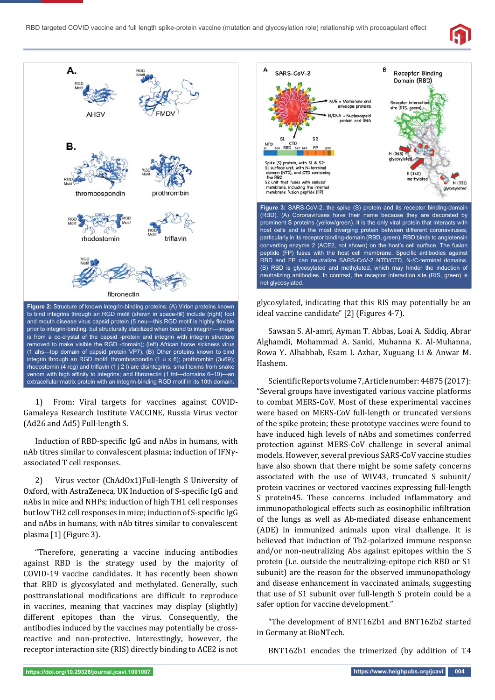



1) From: Viral targets for vaccines against COVID-Gamaleya Research Institute VACCINE, Russia Virus vector (Ad26 and Ad5) Full-length S.

Induction of RBD-specific IgG and nAbs in humans, with nAb titres similar to convalescent plasma; induction of IFNγassociated T cell responses.

2) Virus vector (ChAdOx1)Full-length S University of Oxford, with AstraZeneca, UK Induction of S-specific IgG and nAbs in mice and NHPs; induction of high TH1 cell responses but low TH2 cell responses in mice; induction of S-specific IgG and nAbs in humans, with nAb titres similar to convalescent plasma [1] (Figure 3).

"Therefore, generating a vaccine inducing antibodies against RBD is the strategy used by the majority of COVID-19 vaccine candidates. It has recently been shown that RBD is glycosylated and methylated. Generally, such posttranslational modifications are difficult to reproduce in vaccines, meaning that vaccines may display (slightly) different epitopes than the virus. Consequently, the antibodies induced by the vaccines may potentially be crossreactive and non-protective. Interestingly, however, the receptor interaction site (RIS) directly binding to ACE2 is not



glycosylated, indicating that this RIS may potentially be an ideal vaccine candidate" [2] (Figures 4-7).

Sawsan S. Al-amri, Ayman T. Abbas, Loai A. Siddiq, Abrar Alghamdi, Mohammad A. Sanki, Muhanna K. Al-Muhanna, Rowa Y. Alhabbab, Esam I. Azhar, Xuguang Li & Anwar M. Hashem.

Scientific Reports volume 7, Article number: 44875 (2017): "Several groups have investigated various vaccine platforms to combat MERS-CoV. Most of these experimental vaccines were based on MERS-CoV full-length or truncated versions of the spike protein; these prototype vaccines were found to have induced high levels of nAbs and sometimes conferred protection against MERS-CoV challenge in several animal models. However, several previous SARS-CoV vaccine studies have also shown that there might be some safety concerns associated with the use of WIV43, truncated S subunit/ protein vaccines or vectored vaccines expressing full-length S protein45. These concerns included inflammatory and immunopathological effects such as eosinophilic infiltration of the lungs as well as Ab-mediated disease enhancement (ADE) in immunized animals upon viral challenge. It is believed that induction of Th2-polarized immune response and/or non-neutralizing Abs against epitopes within the S protein (i.e. outside the neutralizing-epitope rich RBD or S1 subunit) are the reason for the observed immunopathology and disease enhancement in vaccinated animals, suggesting that use of S1 subunit over full-length S protein could be a safer option for vaccine development."

"The development of BNT162b1 and BNT162b2 started in Germany at BioNTech.

BNT162b1 encodes the trimerized (by addition of T4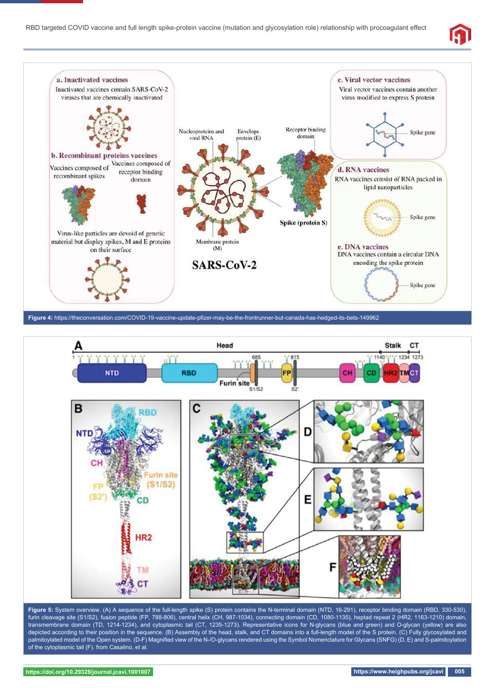





**Figure 5:** System overview. (A) A sequence of the full-length spike (S) protein contains the N-terminal domain (NTD, 16-291), receptor binding domain (RBD, 330-530), furin cleavage site (S1/S2), fusion peptide (FP, 788-806), central helix (CH, 987-1034), connecting domain (CD, 1080-1135), heptad repeat 2 (HR2, 1163-1210) domain, transmembrane domain (TD, 1214-1234), and cytoplasmic tail (CT, 1235-1273). Representative icons for N-glycans (blue and green) and O-glycan (yellow) are also depicted according to their position in the sequence. (B) Assembly of the head, stalk, and CT domains into a full-length model of the S protein. (C) Fully glycosylated and palmitoylated model of the Open system. (D-F) Magnified view of the N-/O-glycans rendered using the Symbol Nomenclature for Glycans (SNFG) (D, E) and S-palmitoylation of the cytoplasmic tail (F). from Casalino, et al.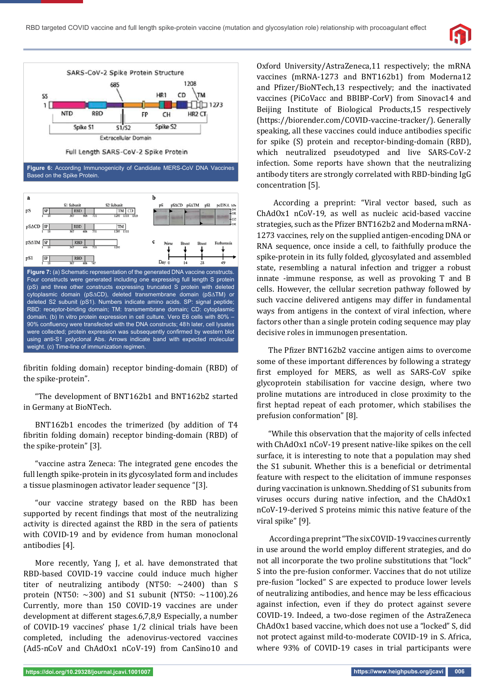



**Figure 6:** According Immunogenicity of Candidate MERS-CoV DNA Vaccines Based on the Spike Protein.



fibritin folding domain) receptor binding-domain (RBD) of the spike-protein".

"The development of BNT162b1 and BNT162b2 started in Germany at BioNTech.

BNT162b1 encodes the trimerized (by addition of T4 fibritin folding domain) receptor binding-domain (RBD) of the spike-protein" [3].

"vaccine astra Zeneca: The integrated gene encodes the full length spike-protein in its glycosylated form and includes a tissue plasminogen activator leader sequence "[3].

"our vaccine strategy based on the RBD has been supported by recent findings that most of the neutralizing activity is directed against the RBD in the sera of patients with COVID-19 and by evidence from human monoclonal antibodies [4].

More recently, Yang J, et al. have demonstrated that RBD-based COVID-19 vaccine could induce much higher titer of neutralizing antibody (NT50: ~2400) than S protein (NT50:  $\sim$ 300) and S1 subunit (NT50:  $\sim$ 1100).26 Currently, more than 150 COVID-19 vaccines are under development at different stages.6,7,8,9 Especially, a number of COVID-19 vaccines' phase 1/2 clinical trials have been completed, including the adenovirus-vectored vaccines (Ad5-nCoV and ChAdOx1 nCoV-19) from CanSino10 and

Oxford University/AstraZeneca,11 respectively; the mRNA vaccines (mRNA-1273 and BNT162b1) from Moderna12 and Pfizer/BioNTech,13 respectively; and the inactivated vaccines (PiCoVacc and BBIBP-CorV) from Sinovac14 and Beijing Institute of Biological Products,15 respectively (https://biorender.com/COVID-vaccine-tracker/). Generally speaking, all these vaccines could induce antibodies specific for spike (S) protein and receptor-binding-domain (RBD), which neutralized pseudotyped and live SARS-CoV-2 infection. Some reports have shown that the neutralizing antibody titers are strongly correlated with RBD-binding IgG concentration [5].

 According a preprint: "Viral vector based, such as ChAdOx1 nCoV-19, as well as nucleic acid-based vaccine strategies, such as the Pfizer BNT162b2 and Moderna mRNA-1273 vaccines, rely on the supplied antigen-encoding DNA or RNA sequence, once inside a cell, to faithfully produce the spike-protein in its fully folded, glycosylated and assembled state, resembling a natural infection and trigger a robust innate -immune response, as well as provoking T and B cells. However, the cellular secretion pathway followed by such vaccine delivered antigens may differ in fundamental ways from antigens in the context of viral infection, where factors other than a single protein coding sequence may play decisive roles in immunogen presentation.

The Pfizer BNT162b2 vaccine antigen aims to overcome some of these important differences by following a strategy first employed for MERS, as well as SARS-CoV spike glycoprotein stabilisation for vaccine design, where two proline mutations are introduced in close proximity to the first heptad repeat of each protomer, which stabilises the prefusion conformation" [8].

"While this observation that the majority of cells infected with ChAdOx1 nCoV-19 present native-like spikes on the cell surface, it is interesting to note that a population may shed the S1 subunit. Whether this is a beneficial or detrimental feature with respect to the elicitation of immune responses during vaccination is unknown. Shedding of S1 subunits from viruses occurs during native infection, and the ChAdOx1 nCoV-19-derived S proteins mimic this native feature of the viral spike" [9].

 According a preprint "The six COVID-19 vaccines currently in use around the world employ different strategies, and do not all incorporate the two proline substitutions that "lock" S into the pre-fusion conformer. Vaccines that do not utilize pre-fusion "locked" S are expected to produce lower levels of neutralizing antibodies, and hence may be less efficacious against infection, even if they do protect against severe COVID-19. Indeed, a two-dose regimen of the AstraZeneca ChAdOx1 based vaccine, which does not use a "locked" S, did not protect against mild-to-moderate COVID-19 in S. Africa, where 93% of COVID-19 cases in trial participants were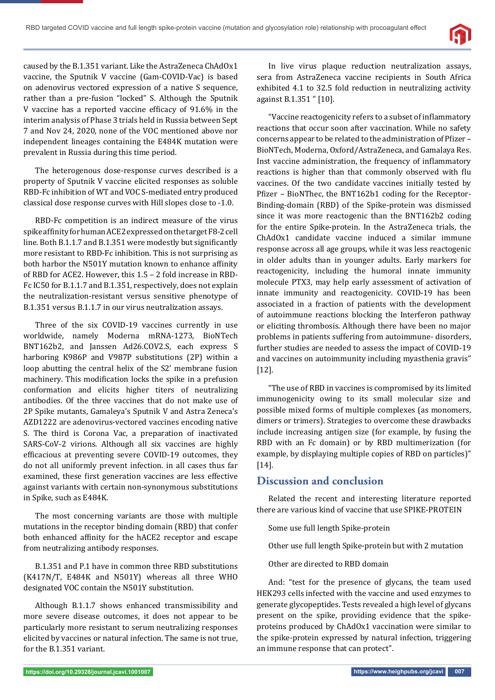

caused by the B.1.351 variant. Like the AstraZeneca ChAdOx1 vaccine, the Sputnik V vaccine (Gam-COVID-Vac) is based on adenovirus vectored expression of a native S sequence, rather than a pre-fusion "locked" S. Although the Sputnik V vaccine has a reported vaccine efficacy of 91.6% in the interim analysis of Phase 3 trials held in Russia between Sept 7 and Nov 24, 2020, none of the VOC mentioned above nor independent lineages containing the E484K mutation were prevalent in Russia during this time period.

The heterogenous dose-response curves described is a property of Sputnik V vaccine elicited responses as soluble RBD-Fc inhibition of WT and VOC S-mediated entry produced classical dose response curves with Hill slopes close to -1.0.

RBD-Fc competition is an indirect measure of the virus spike affinity for human ACE2 expressed on the target F8-2 cell line. Both B.1.1.7 and B.1.351 were modestly but significantly more resistant to RBD-Fc inhibition. This is not surprising as both harbor the N501Y mutation known to enhance affinity of RBD for ACE2. However, this 1.5 – 2 fold increase in RBD-Fc IC50 for B.1.1.7 and B.1.351, respectively, does not explain the neutralization-resistant versus sensitive phenotype of B.1.351 versus B.1.1.7 in our virus neutralization assays.

Three of the six COVID-19 vaccines currently in use worldwide, namely Moderna mRNA-1273, BioNTech BNT162b2, and Janssen Ad26.COV2.S, each express S harboring K986P and V987P substitutions (2P) within a loop abutting the central helix of the S2' membrane fusion machinery. This modification locks the spike in a prefusion conformation and elicits higher titers of neutralizing antibodies. Of the three vaccines that do not make use of 2P Spike mutants, Gamaleya's Sputnik V and Astra Zeneca's AZD1222 are adenovirus-vectored vaccines encoding native S. The third is Corona Vac, a preparation of inactivated SARS-CoV-2 virions. Although all six vaccines are highly efficacious at preventing severe COVID-19 outcomes, they do not all uniformly prevent infection. in all cases thus far examined, these first generation vaccines are less effective against variants with certain non-synonymous substitutions in Spike, such as E484K.

The most concerning variants are those with multiple mutations in the receptor binding domain (RBD) that confer both enhanced affinity for the hACE2 receptor and escape from neutralizing antibody responses.

B.1.351 and P.1 have in common three RBD substitutions (K417N/T, E484K and N501Y) whereas all three WHO designated VOC contain the N501Y substitution.

Although B.1.1.7 shows enhanced transmissibility and more severe disease outcomes, it does not appear to be particularly more resistant to serum neutralizing responses elicited by vaccines or natural infection. The same is not true, for the B.1.351 variant.

In live virus plaque reduction neutralization assays, sera from AstraZeneca vaccine recipients in South Africa exhibited 4.1 to 32.5 fold reduction in neutralizing activity against B.1.351 " [10].

"Vaccine reactogenicity refers to a subset of inflammatory reactions that occur soon after vaccination. While no safety concerns appear to be related to the administration of Pfizer – BioNTech, Moderna, Oxford/AstraZeneca, and Gamalaya Res. Inst vaccine administration, the frequency of inflammatory reactions is higher than that commonly observed with flu vaccines. Of the two candidate vaccines initially tested by Pfizer - BioNThec, the BNT162b1 coding for the Receptor-Binding-domain (RBD) of the Spike-protein was dismissed since it was more reactogenic than the BNT162b2 coding for the entire Spike-protein. In the AstraZeneca trials, the ChAdOx1 candidate vaccine induced a similar immune response across all age groups, while it was less reactogenic in older adults than in younger adults. Early markers for reactogenicity, including the humoral innate immunity molecule PTX3, may help early assessment of activation of innate immunity and reactogenicity. COVID-19 has been associated in a fraction of patients with the development of autoimmune reactions blocking the Interferon pathway or eliciting thrombosis. Although there have been no major problems in patients suffering from autoimmune- disorders, further studies are needed to assess the impact of COVID-19 and vaccines on autoimmunity including myasthenia gravis" [12].

"The use of RBD in vaccines is compromised by its limited immunogenicity owing to its small molecular size and possible mixed forms of multiple complexes (as monomers, dimers or trimers). Strategies to overcome these drawbacks include increasing antigen size (for example, by fusing the RBD with an Fc domain) or by RBD multimerization (for example, by displaying multiple copies of RBD on particles)" [14].

## **Discussion and conclusion**

Related the recent and interesting literature reported there are various kind of vaccine that use SPIKE-PROTEIN

Some use full length Spike-protein

- Other use full length Spike-protein but with 2 mutation
- Other are directed to RBD domain

And: "test for the presence of glycans, the team used HEK293 cells infected with the vaccine and used enzymes to generate glycopeptides. Tests revealed a high level of glycans present on the spike, providing evidence that the spikeproteins produced by ChAdOx1 vaccination were similar to the spike-protein expressed by natural infection, triggering an immune response that can protect".